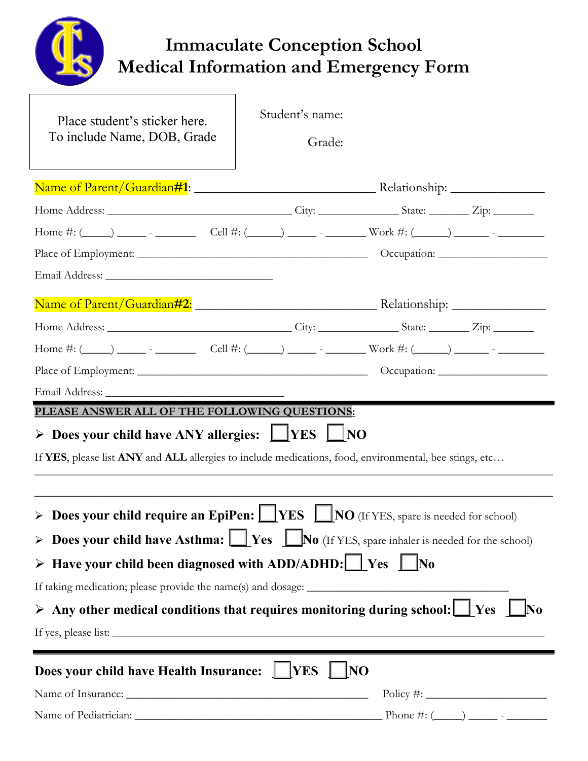|                                                                                                                                                                                                                                | <b>Immaculate Conception School</b><br><b>Medical Information and Emergency Form</b> |                          |  |  |  |
|--------------------------------------------------------------------------------------------------------------------------------------------------------------------------------------------------------------------------------|--------------------------------------------------------------------------------------|--------------------------|--|--|--|
| Place student's sticker here.<br>To include Name, DOB, Grade                                                                                                                                                                   | Student's name:<br>Grade:                                                            |                          |  |  |  |
|                                                                                                                                                                                                                                |                                                                                      |                          |  |  |  |
|                                                                                                                                                                                                                                |                                                                                      |                          |  |  |  |
|                                                                                                                                                                                                                                |                                                                                      |                          |  |  |  |
|                                                                                                                                                                                                                                |                                                                                      |                          |  |  |  |
|                                                                                                                                                                                                                                |                                                                                      |                          |  |  |  |
|                                                                                                                                                                                                                                |                                                                                      |                          |  |  |  |
|                                                                                                                                                                                                                                |                                                                                      |                          |  |  |  |
| Home #: (_____) ________ Cell #: (_____) _______ Work #: (_____) _______ - _______                                                                                                                                             |                                                                                      |                          |  |  |  |
|                                                                                                                                                                                                                                |                                                                                      |                          |  |  |  |
|                                                                                                                                                                                                                                |                                                                                      |                          |  |  |  |
| PLEASE ANSWER ALL OF THE FOLLOWING QUESTIONS:<br>> Does your child have ANY allergies: $\Box$ YES $\Box$ NO<br>If YES, please list ANY and ALL allergies to include medications, food, environmental, bee stings, etc          |                                                                                      |                          |  |  |  |
| > Does your child require an EpiPen: $\Box$ YES $\Box$ NO (If YES, spare is needed for school)                                                                                                                                 |                                                                                      |                          |  |  |  |
| > Does your child have Asthma: $\Box$ Yes $\Box$ No (If YES, spare inhaler is needed for the school)                                                                                                                           |                                                                                      |                          |  |  |  |
| $\triangleright$ Have your child been diagnosed with ADD/ADHD: $\cup$ Yes $\cup$ No                                                                                                                                            |                                                                                      |                          |  |  |  |
|                                                                                                                                                                                                                                |                                                                                      |                          |  |  |  |
| $\triangleright$ Any other medical conditions that requires monitoring during school: $\Box$ Yes<br>If yes, please list:                                                                                                       |                                                                                      |                          |  |  |  |
| Does your child have Health Insurance:   VES                                                                                                                                                                                   | NO                                                                                   |                          |  |  |  |
|                                                                                                                                                                                                                                |                                                                                      |                          |  |  |  |
| Name of Pediatrician: Canadian Communication of Pediatrician Communication of Pediatrician Communication of the Communication of the Communication of the Communication of the Communication of the Communication of the Commu |                                                                                      | Phone #: $(\_\_) \_\_$ - |  |  |  |